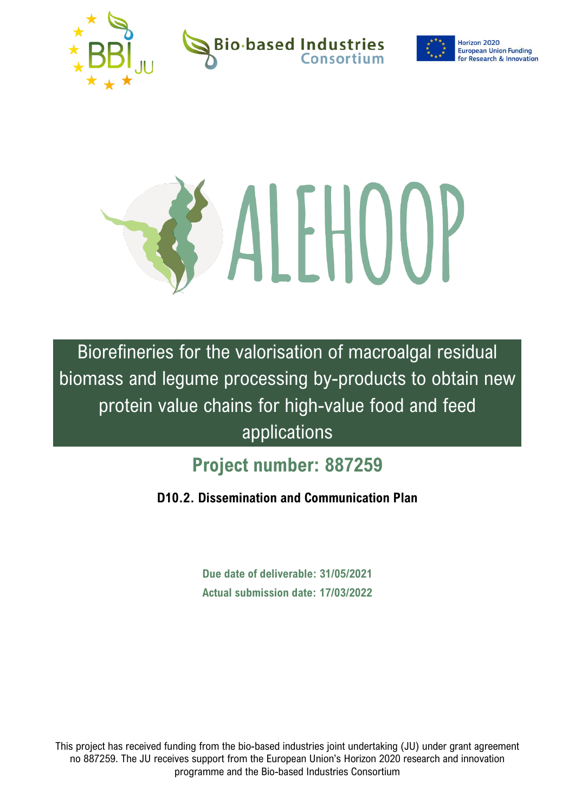

**Bio-based Industries** 



Horizon 2020 **European Union Funding for Research & Innovation** 



Biorefineries for the valorisation of macroalgal residual biomass and legume processing by-products to obtain new protein value chains for high-value food and feed applications

# **Project number: 887259**

**D10.2. Dissemination and Communication Plan** 

**Due date of deliverable: 31/05/2021 Actual submission date: 17/03/2022**

This project has received funding from the bio-based industries joint undertaking (JU) under grant agreement no 887259. The JU receives support from the European Union's Horizon 2020 research and innovation programme and the Bio-based Industries Consortium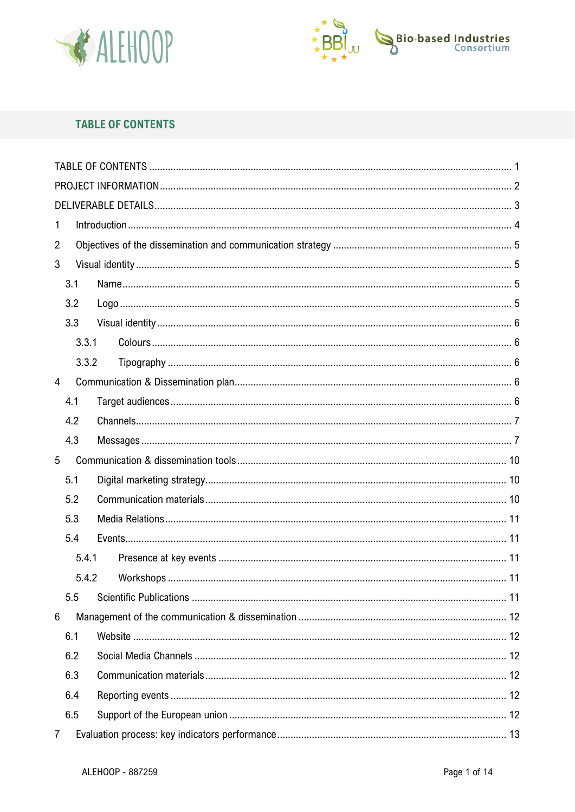



# <span id="page-1-0"></span>**TABLE OF CONTENTS**

| 1              |  |
|----------------|--|
| $\overline{2}$ |  |
| 3              |  |
| 3.1            |  |
| 3.2            |  |
| 3.3            |  |
| 3.3.1          |  |
| 3.3.2          |  |
| $\overline{4}$ |  |
| 4.1            |  |
| 4.2            |  |
| 4.3            |  |
| 5              |  |
| 5.1            |  |
| 5.2            |  |
| 5.3            |  |
| 5.4            |  |
| 5.4.1          |  |
| 5.4.2          |  |
| 5.5            |  |
| 6              |  |
| 6.1            |  |
| 6.2            |  |
| 6.3            |  |
| 6.4            |  |
| 6.5            |  |
| 7              |  |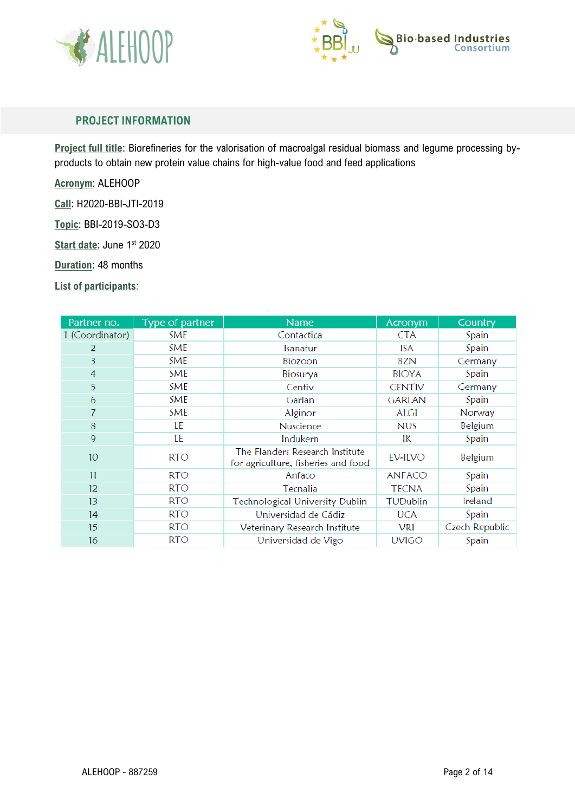



## <span id="page-2-0"></span>**PROJECT INFORMATION**

**Project full title**: Biorefineries for the valorisation of macroalgal residual biomass and legume processing byproducts to obtain new protein value chains for high-value food and feed applications

**Acronym**: ALEHOOP

**Call**: H2020-BBI-JTI-2019

**Topic**: BBI-2019-SO3-D3

Start date: June 1st 2020

**Duration**: 48 months

**List of participants**:

| Partner no.     | Type of partner | <b>Name</b>                                                            | Acronym       | Country        |
|-----------------|-----------------|------------------------------------------------------------------------|---------------|----------------|
| 1 (Coordinator) | SME             | Contactica                                                             | <b>CTA</b>    | Spain          |
| 2               | <b>SME</b>      | Isanatur                                                               | ISA           | Spain          |
| 3               | <b>SME</b>      | Biozoon                                                                | BZN           | Germany        |
| $\overline{4}$  | <b>SME</b>      | Biosurya                                                               | <b>BIOYA</b>  | Spain          |
| 5               | <b>SME</b>      | Centiv                                                                 | <b>CENTIV</b> | Germany        |
| 6               | <b>SME</b>      | Garlan                                                                 | <b>GARLAN</b> | Spain          |
| 7               | <b>SME</b>      | Alginor                                                                | ALGI          | Norway         |
| 8               | LE              | Nuscience                                                              | <b>NUS</b>    | Belgium        |
| 9               | LE              | Indukern                                                               | IК            | Spain          |
| 10 <sup>°</sup> | <b>RTO</b>      | The Flanders Research Institute<br>for agriculture, fisheries and food | EV-ILVO       | Belgium        |
| 11              | <b>RTO</b>      | Anfaco                                                                 | <b>ANFACO</b> | Spain          |
| 12 <sup>°</sup> | <b>RTO</b>      | Tecnalia                                                               | <b>TECNA</b>  | Spain          |
| 13              | RTO             | <b>Technological University Dublin</b>                                 | TUDublin      | Ireland        |
| 14              | <b>RTO</b>      | Universidad de Cádiz                                                   | UCA           | Spain          |
| 15              | RTO             | Veterinary Research Institute                                          | VRI           | Czech Republic |
| 16              | RTO.            | Universidad de Vigo                                                    | <b>UVIGO</b>  | Spain          |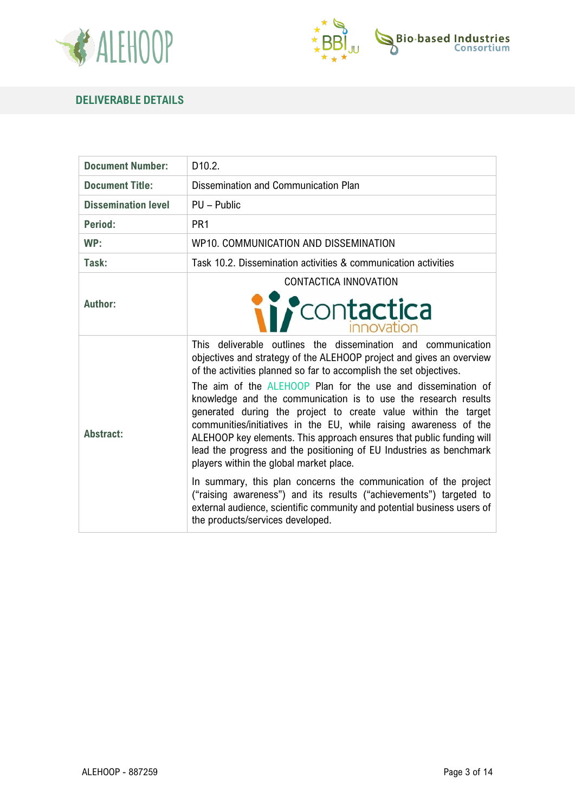



## <span id="page-3-0"></span>**DELIVERABLE DETAILS**

| <b>Document Number:</b>    | D <sub>10.2</sub> .                                                                                                                                                                                                                                                                                                                                                                                                                                                                                                                                                                                                                                                                                                                                                                                                                                                                                                                    |  |  |
|----------------------------|----------------------------------------------------------------------------------------------------------------------------------------------------------------------------------------------------------------------------------------------------------------------------------------------------------------------------------------------------------------------------------------------------------------------------------------------------------------------------------------------------------------------------------------------------------------------------------------------------------------------------------------------------------------------------------------------------------------------------------------------------------------------------------------------------------------------------------------------------------------------------------------------------------------------------------------|--|--|
| <b>Document Title:</b>     | Dissemination and Communication Plan                                                                                                                                                                                                                                                                                                                                                                                                                                                                                                                                                                                                                                                                                                                                                                                                                                                                                                   |  |  |
| <b>Dissemination level</b> | PU - Public                                                                                                                                                                                                                                                                                                                                                                                                                                                                                                                                                                                                                                                                                                                                                                                                                                                                                                                            |  |  |
| Period:                    | PR <sub>1</sub>                                                                                                                                                                                                                                                                                                                                                                                                                                                                                                                                                                                                                                                                                                                                                                                                                                                                                                                        |  |  |
| WP:                        | WP10. COMMUNICATION AND DISSEMINATION                                                                                                                                                                                                                                                                                                                                                                                                                                                                                                                                                                                                                                                                                                                                                                                                                                                                                                  |  |  |
| Task:                      | Task 10.2. Dissemination activities & communication activities                                                                                                                                                                                                                                                                                                                                                                                                                                                                                                                                                                                                                                                                                                                                                                                                                                                                         |  |  |
| Author:                    | CONTACTICA INNOVATION<br><i>contactica</i>                                                                                                                                                                                                                                                                                                                                                                                                                                                                                                                                                                                                                                                                                                                                                                                                                                                                                             |  |  |
| <b>Abstract:</b>           | This deliverable outlines the dissemination and communication<br>objectives and strategy of the ALEHOOP project and gives an overview<br>of the activities planned so far to accomplish the set objectives.<br>The aim of the ALEHOOP Plan for the use and dissemination of<br>knowledge and the communication is to use the research results<br>generated during the project to create value within the target<br>communities/initiatives in the EU, while raising awareness of the<br>ALEHOOP key elements. This approach ensures that public funding will<br>lead the progress and the positioning of EU Industries as benchmark<br>players within the global market place.<br>In summary, this plan concerns the communication of the project<br>("raising awareness") and its results ("achievements") targeted to<br>external audience, scientific community and potential business users of<br>the products/services developed. |  |  |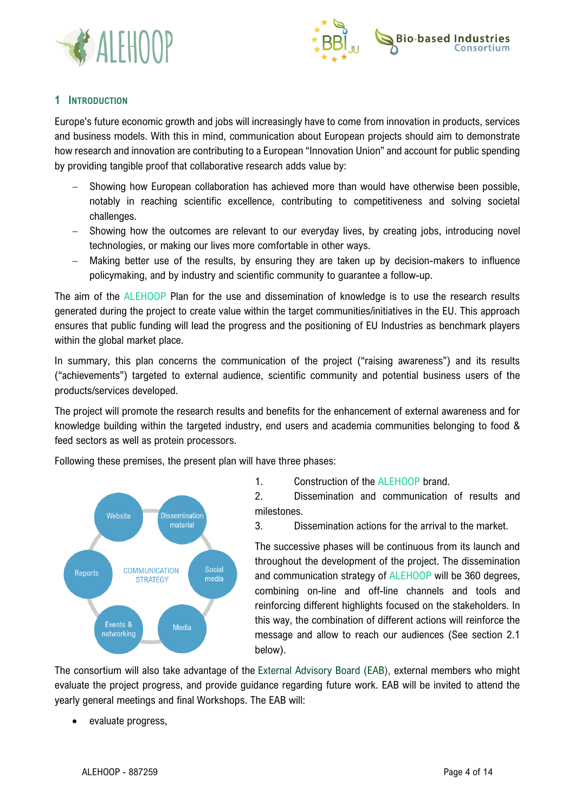



## <span id="page-4-0"></span>**1 INTRODUCTION**

Europe's future economic growth and jobs will increasingly have to come from innovation in products, services and business models. With this in mind, communication about European projects should aim to demonstrate how research and innovation are contributing to a European "Innovation Union" and account for public spending by providing tangible proof that collaborative research adds value by:

- Showing how European collaboration has achieved more than would have otherwise been possible, notably in reaching scientific excellence, contributing to competitiveness and solving societal challenges.
- − Showing how the outcomes are relevant to our everyday lives, by creating jobs, introducing novel technologies, or making our lives more comfortable in other ways.
- − Making better use of the results, by ensuring they are taken up by decision-makers to influence policymaking, and by industry and scientific community to guarantee a follow-up.

The aim of the ALEHOOP Plan for the use and dissemination of knowledge is to use the research results generated during the project to create value within the target communities/initiatives in the EU. This approach ensures that public funding will lead the progress and the positioning of EU Industries as benchmark players within the global market place.

In summary, this plan concerns the communication of the project ("raising awareness") and its results ("achievements") targeted to external audience, scientific community and potential business users of the products/services developed.

The project will promote the research results and benefits for the enhancement of external awareness and for knowledge building within the targeted industry, end users and academia communities belonging to food & feed sectors as well as protein processors.

Following these premises, the present plan will have three phases:



1. Construction of the ALEHOOP brand.

2. Dissemination and communication of results and milestones.

3. Dissemination actions for the arrival to the market.

The successive phases will be continuous from its launch and throughout the development of the project. The dissemination and communication strategy of ALEHOOP will be 360 degrees. combining on-line and off-line channels and tools and reinforcing different highlights focused on the stakeholders. In this way, the combination of different actions will reinforce the message and allow to reach our audiences (See section 2.1 below).

The consortium will also take advantage of the External Advisory Board (EAB), external members who might evaluate the project progress, and provide guidance regarding future work. EAB will be invited to attend the yearly general meetings and final Workshops. The EAB will:

• evaluate progress,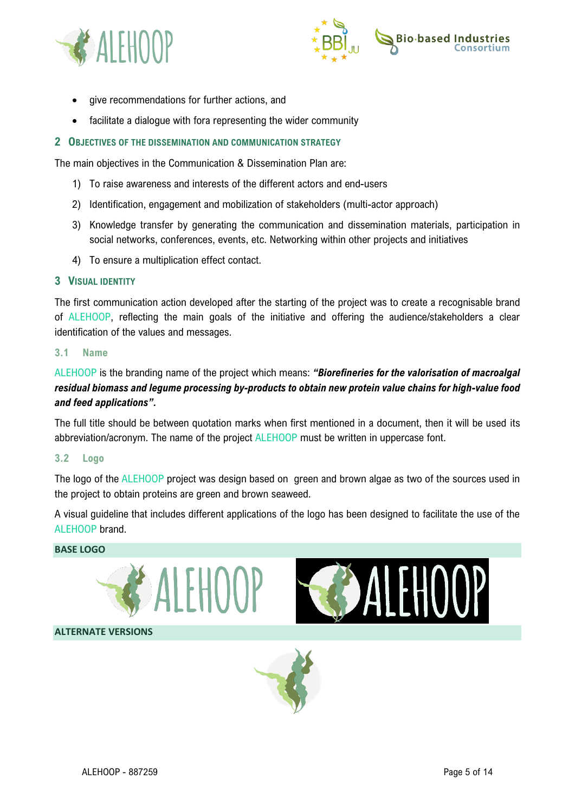



- give recommendations for further actions, and
- facilitate a dialogue with fora representing the wider community

#### <span id="page-5-0"></span>**2 OBJECTIVES OF THE DISSEMINATION AND COMMUNICATION STRATEGY**

The main objectives in the Communication & Dissemination Plan are:

- 1) To raise awareness and interests of the different actors and end-users
- 2) Identification, engagement and mobilization of stakeholders (multi-actor approach)
- 3) Knowledge transfer by generating the communication and dissemination materials, participation in social networks, conferences, events, etc. Networking within other projects and initiatives
- 4) To ensure a multiplication effect contact.

#### <span id="page-5-1"></span>**3 VISUAL IDENTITY**

The first communication action developed after the starting of the project was to create a recognisable brand of ALEHOOP, reflecting the main goals of the initiative and offering the audience/stakeholders a clear identification of the values and messages.

#### <span id="page-5-2"></span>**3.1 Name**

ALEHOOP is the branding name of the project which means: *"Biorefineries for the valorisation of macroalgal residual biomass and legume processing by-products to obtain new protein value chains for high-value food and feed applications".*

The full title should be between quotation marks when first mentioned in a document, then it will be used its abbreviation/acronym. The name of the project ALEHOOP must be written in uppercase font.

#### <span id="page-5-3"></span>**3.2 Logo**

The logo of the ALEHOOP project was design based on green and brown algae as two of the sources used in the project to obtain proteins are green and brown seaweed.

A visual guideline that includes different applications of the logo has been designed to facilitate the use of the ALEHOOP brand.

#### **BASE LOGO**







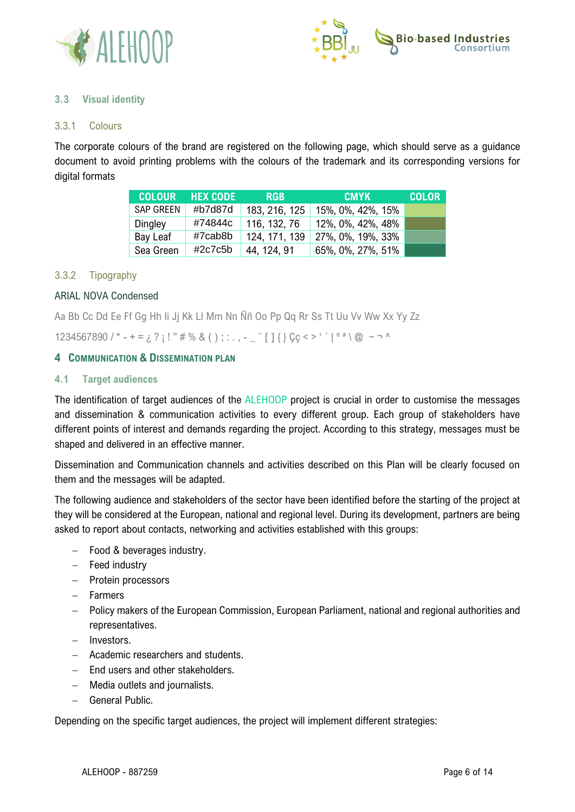



## <span id="page-6-0"></span>**3.3 Visual identity**

## <span id="page-6-1"></span>3.3.1 Colours

The corporate colours of the brand are registered on the following page, which should serve as a guidance document to avoid printing problems with the colours of the trademark and its corresponding versions for digital formats

| <b>COLOUR</b>    | <b>HEX CODE</b> | <b>RGB</b>    | <b>CMYK</b>       | <b>COLOR</b> |
|------------------|-----------------|---------------|-------------------|--------------|
| <b>SAP GREEN</b> | #b7d87d         | 183, 216, 125 | 15%, 0%, 42%, 15% |              |
| Dingley          | #74844c         | 116, 132, 76  | 12%, 0%, 42%, 48% |              |
| Bay Leaf         | #7cab8b         | 124, 171, 139 | 27%, 0%, 19%, 33% |              |
| Sea Green        | #2c7c5b         | 44, 124, 91   | 65%, 0%, 27%, 51% |              |

## <span id="page-6-2"></span>3.3.2 Tipography

## ARIAL NOVA Condensed

Aa Bb Cc Dd Ee Ff Gg Hh Ii Jj Kk Ll Mm Nn Ññ Oo Pp Qq Rr Ss Tt Uu Vv Ww Xx Yy Zz

1234567890 / \* - + =  $\iota$  ? ; ! " # % & ( ) ; : . , - \_ " [ ] { } Cc < > ' ' | ° ª \ @ ~ ¬ ^

## <span id="page-6-3"></span>**4 COMMUNICATION & DISSEMINATION PLAN**

## <span id="page-6-4"></span>**4.1 Target audiences**

The identification of target audiences of the ALEHOOP project is crucial in order to customise the messages and dissemination & communication activities to every different group. Each group of stakeholders have different points of interest and demands regarding the project. According to this strategy, messages must be shaped and delivered in an effective manner.

Dissemination and Communication channels and activities described on this Plan will be clearly focused on them and the messages will be adapted.

The following audience and stakeholders of the sector have been identified before the starting of the project at they will be considered at the European, national and regional level. During its development, partners are being asked to report about contacts, networking and activities established with this groups:

- − Food & beverages industry.
- − Feed industry
- − Protein processors
- − Farmers
- − Policy makers of the European Commission, European Parliament, national and regional authorities and representatives.
- − Investors.
- − Academic researchers and students.
- − End users and other stakeholders.
- − Media outlets and journalists.
- − General Public.

Depending on the specific target audiences, the project will implement different strategies: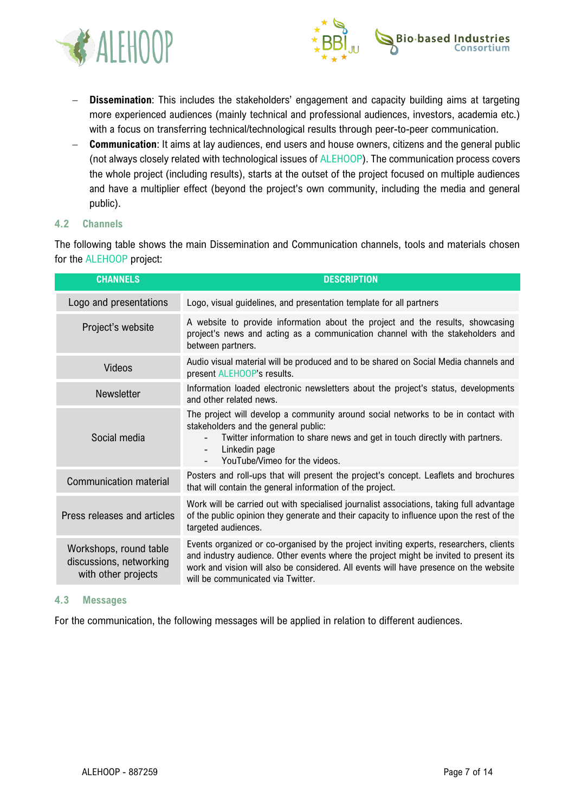



- − **Dissemination**: This includes the stakeholders' engagement and capacity building aims at targeting more experienced audiences (mainly technical and professional audiences, investors, academia etc.) with a focus on transferring technical/technological results through peer-to-peer communication.
- − **Communication**: It aims at lay audiences, end users and house owners, citizens and the general public (not always closely related with technological issues of ALEHOOP). The communication process covers the whole project (including results), starts at the outset of the project focused on multiple audiences and have a multiplier effect (beyond the project's own community, including the media and general public).

## <span id="page-7-0"></span>**4.2 Channels**

The following table shows the main Dissemination and Communication channels, tools and materials chosen for the ALEHOOP project:

| <b>CHANNELS</b>                                                          | <b>DESCRIPTION</b>                                                                                                                                                                                                                                                                                            |
|--------------------------------------------------------------------------|---------------------------------------------------------------------------------------------------------------------------------------------------------------------------------------------------------------------------------------------------------------------------------------------------------------|
| Logo and presentations                                                   | Logo, visual guidelines, and presentation template for all partners                                                                                                                                                                                                                                           |
| Project's website                                                        | A website to provide information about the project and the results, showcasing<br>project's news and acting as a communication channel with the stakeholders and<br>between partners.                                                                                                                         |
| Videos                                                                   | Audio visual material will be produced and to be shared on Social Media channels and<br>present ALEHOOP's results.                                                                                                                                                                                            |
| Newsletter                                                               | Information loaded electronic newsletters about the project's status, developments<br>and other related news.                                                                                                                                                                                                 |
| Social media                                                             | The project will develop a community around social networks to be in contact with<br>stakeholders and the general public:<br>Twitter information to share news and get in touch directly with partners.<br>Linkedin page<br>YouTube/Vimeo for the videos.                                                     |
| <b>Communication material</b>                                            | Posters and roll-ups that will present the project's concept. Leaflets and brochures<br>that will contain the general information of the project.                                                                                                                                                             |
| Press releases and articles                                              | Work will be carried out with specialised journalist associations, taking full advantage<br>of the public opinion they generate and their capacity to influence upon the rest of the<br>targeted audiences.                                                                                                   |
| Workshops, round table<br>discussions, networking<br>with other projects | Events organized or co-organised by the project inviting experts, researchers, clients<br>and industry audience. Other events where the project might be invited to present its<br>work and vision will also be considered. All events will have presence on the website<br>will be communicated via Twitter. |

## <span id="page-7-1"></span>**4.3 Messages**

For the communication, the following messages will be applied in relation to different audiences.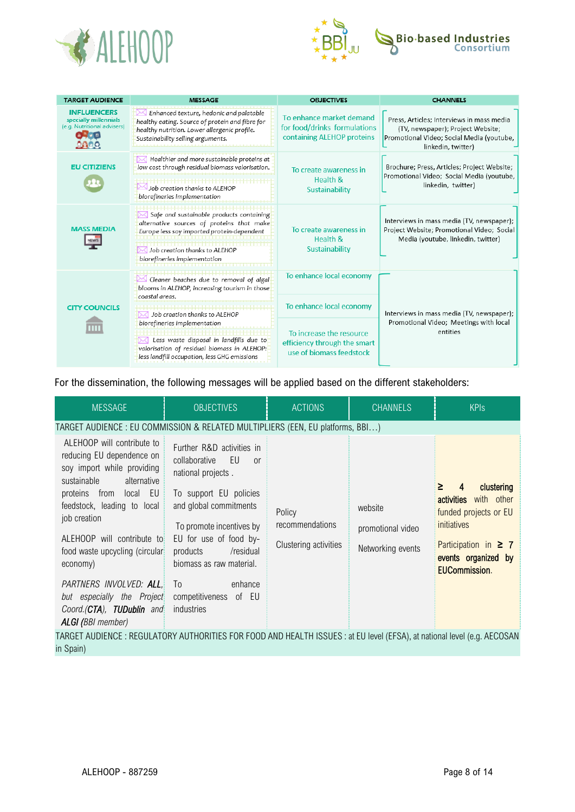



| <b>TARGET AUDIENCE</b>                                                     | <b>MESSAGE</b>                                                                                                                                                                                       | <b>ORJECTIVES</b>                                                                      | <b>CHANNELS</b>                                                                                                                                   |
|----------------------------------------------------------------------------|------------------------------------------------------------------------------------------------------------------------------------------------------------------------------------------------------|----------------------------------------------------------------------------------------|---------------------------------------------------------------------------------------------------------------------------------------------------|
| <b>INFLUENCERS</b><br>specially millennials<br>(e.g. Nutritional advisers) | Enhanced texture, hedonic and palatable<br>healthy eating. Source of protein and fibre for<br>healthy nutrition. Lower allergenic profile.<br>Sustainability selling arguments.                      | To enhance market demand<br>for food/drinks formulations<br>containing ALEHOP proteins | Press, Articles; Interviews in mass media<br>(TV, newspaper); Project Website;<br>Promotional Video; Social Media (youtube,<br>linkedin, twitter) |
| <b>EU CITIZIENS</b>                                                        | Healthier and more sustainable proteins at<br>low cost through residual biomass valorisation.<br>Job creation thanks to ALEHOP<br>biorefineries implementation                                       | To create awareness in<br>Health &<br>Sustainability                                   | Brochure; Press, Articles; Project Website;<br>Promotional Video; Social Media (youtube,<br>linkedin, twitter)                                    |
| <b>MASS MEDIA</b>                                                          | Safe and sustainable products containing<br>alternative sources of proteins that make<br>Europe less soy imported protein-dependent<br>Job creation thanks to ALEHOP<br>biorefineries implementation | To create awareness in<br>Health &<br>Sustainability                                   | Interviews in mass media (TV, newspaper);<br>Project Website; Promotional Video; Social<br>Media (youtube, linkedin, twitter)                     |
|                                                                            | Cleaner beaches due to removal of algal<br>blooms in ALEHOP, increasing tourism in those<br>coastal areas.                                                                                           | To enhance local economy                                                               |                                                                                                                                                   |
| <b>CITY COUNCILS</b>                                                       | Job creation thanks to ALEHOP                                                                                                                                                                        | To enhance local economy                                                               | Interviews in mass media (TV, newspaper);                                                                                                         |
|                                                                            | biorefineries implementation<br>Less waste disposal in landfills due to<br>valorisation of residual biomass in ALEHOP:<br>less landfill occupation, less GHG emissions                               | To increase the resource<br>efficiency through the smart<br>use of biomass feedstock   | Promotional Video; Meetings with local<br>entities                                                                                                |

For the dissemination, the following messages will be applied based on the different stakeholders:

| <b>MESSAGE</b>                                                                                                                                                                                                                                                                    | <b>OBJECTIVES</b>                                                                                                                                            | <b>ACTIONS</b>            | <b>CHANNELS</b>              | <b>KPIs</b>                                                                              |
|-----------------------------------------------------------------------------------------------------------------------------------------------------------------------------------------------------------------------------------------------------------------------------------|--------------------------------------------------------------------------------------------------------------------------------------------------------------|---------------------------|------------------------------|------------------------------------------------------------------------------------------|
| TARGET AUDIENCE : EU COMMISSION & RELATED MULTIPLIERS (EEN, EU platforms, BBI)<br>ALEHOOP will contribute to<br>reducing EU dependence on<br>soy import while providing<br>alternative<br>sustainable<br>proteins from local<br>EU<br>feedstock, leading to local<br>job creation | Further R&D activities in<br>collaborative<br>EU<br>0r<br>national projects.<br>To support EU policies<br>and global commitments<br>To promote incentives by | Policy<br>recommendations | website<br>promotional video | clustering<br>≥<br>4<br>with other<br>activities<br>funded projects or EU<br>initiatives |
| ALEHOOP will contribute to<br>food waste upcycling (circular<br>economy)<br>PARTNERS INVOLVED: ALL,<br>but especially the Project<br>Coord.(CTA), TUDublin and<br>ALGI (BBI member)                                                                                               | EU for use of food by-<br>/residual<br>products<br>biomass as raw material.<br>T <sub>0</sub><br>enhance<br>competitiveness of EU<br>industries              | Clustering activities     | Networking events            | Participation in $\geq 7$<br>events organized by<br><b>EUCommission.</b>                 |
| TARGET AUDIENCE : REGULATORY AUTHORITIES FOR FOOD AND HEALTH ISSUES : at EU level (EFSA), at national level (e.g. AECOSAN<br>in Spain)                                                                                                                                            |                                                                                                                                                              |                           |                              |                                                                                          |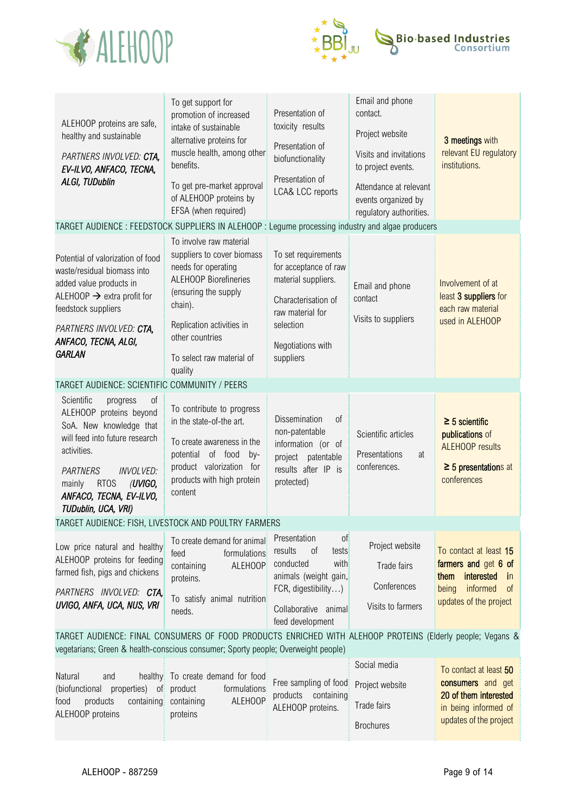



| ALEHOOP proteins are safe,<br>healthy and sustainable<br>PARTNERS INVOLVED: CTA,<br>EV-ILVO, ANFACO, TECNA,<br>ALGI, TUDublin                                                                                                                                    | To get support for<br>promotion of increased<br>intake of sustainable<br>alternative proteins for<br>muscle health, among other<br>benefits.<br>To get pre-market approval<br>of ALEHOOP proteins by<br>EFSA (when required)            | Presentation of<br>toxicity results<br>Presentation of<br>biofunctionality<br>Presentation of<br>LCA& LCC reports                                             | Email and phone<br>contact.<br>Project website<br>Visits and invitations<br>to project events.<br>Attendance at relevant<br>events organized by<br>regulatory authorities. | 3 meetings with<br>relevant EU regulatory<br>institutions.                                                                                            |
|------------------------------------------------------------------------------------------------------------------------------------------------------------------------------------------------------------------------------------------------------------------|-----------------------------------------------------------------------------------------------------------------------------------------------------------------------------------------------------------------------------------------|---------------------------------------------------------------------------------------------------------------------------------------------------------------|----------------------------------------------------------------------------------------------------------------------------------------------------------------------------|-------------------------------------------------------------------------------------------------------------------------------------------------------|
| TARGET AUDIENCE : FEEDSTOCK SUPPLIERS IN ALEHOOP : Legume processing industry and algae producers                                                                                                                                                                |                                                                                                                                                                                                                                         |                                                                                                                                                               |                                                                                                                                                                            |                                                                                                                                                       |
| Potential of valorization of food<br>waste/residual biomass into<br>added value products in<br>ALEHOOP $\rightarrow$ extra profit for<br>feedstock suppliers<br>PARTNERS INVOLVED: CTA,<br>ANFACO, TECNA, ALGI,<br><b>GARLAN</b>                                 | To involve raw material<br>suppliers to cover biomass<br>needs for operating<br><b>ALEHOOP Biorefineries</b><br>(ensuring the supply<br>chain).<br>Replication activities in<br>other countries<br>To select raw material of<br>quality | To set requirements<br>for acceptance of raw<br>material suppliers.<br>Characterisation of<br>raw material for<br>selection<br>Negotiations with<br>suppliers | Email and phone<br>contact<br>Visits to suppliers                                                                                                                          | Involvement of at<br>least 3 suppliers for<br>each raw material<br>used in ALEHOOP                                                                    |
| TARGET AUDIENCE: SCIENTIFIC COMMUNITY / PEERS                                                                                                                                                                                                                    |                                                                                                                                                                                                                                         |                                                                                                                                                               |                                                                                                                                                                            |                                                                                                                                                       |
| Scientific<br>of<br>progress<br>ALEHOOP proteins beyond<br>SoA. New knowledge that<br>will feed into future research<br>activities.<br><b>PARTNERS</b><br><b>INVOLVED:</b><br><b>RTOS</b><br>(UVIGO,<br>mainly<br>ANFACO, TECNA, EV-ILVO,<br>TUDublin, UCA, VRI) | To contribute to progress<br>in the state-of-the art.<br>To create awareness in the<br>potential of food<br>by-<br>product valorization<br>for<br>products with high protein<br>content                                                 | Dissemination<br>of<br>non-patentable<br>information (or of<br>project patentable<br>results after IP is<br>protected)                                        | Scientific articles<br>Presentations<br>at<br>conferences.                                                                                                                 | $\geq$ 5 scientific<br>publications of<br><b>ALEHOOP</b> results<br>$\geq$ 5 presentations at<br>conferences                                          |
| TARGET AUDIENCE: FISH, LIVESTOCK AND POULTRY FARMERS                                                                                                                                                                                                             |                                                                                                                                                                                                                                         |                                                                                                                                                               |                                                                                                                                                                            |                                                                                                                                                       |
| Low price natural and healthy<br>ALEHOOP proteins for feeding<br>farmed fish, pigs and chickens<br>PARTNERS INVOLVED: CTA,<br>UVIGO, ANFA, UCA, NUS, VRI                                                                                                         | To create demand for animal<br>formulations<br>feed<br><b>ALEHOOP</b><br>containing<br>proteins.<br>To satisfy animal nutrition<br>needs.                                                                                               | of<br>Presentation<br>results<br>0f<br>tests<br>conducted<br>with<br>animals (weight gain,<br>FCR, digestibility)<br>Collaborative animal<br>feed development | Project website<br>Trade fairs<br>Conferences<br>Visits to farmers                                                                                                         | To contact at least 15<br>farmers and get 6 of<br>interested<br>them<br>$\mathsf{in}$<br>informed<br>being<br><sub>of</sub><br>updates of the project |
| TARGET AUDIENCE: FINAL CONSUMERS OF FOOD PRODUCTS ENRICHED WITH ALEHOOP PROTEINS (Elderly people; Vegans &                                                                                                                                                       |                                                                                                                                                                                                                                         |                                                                                                                                                               |                                                                                                                                                                            |                                                                                                                                                       |
| vegetarians; Green & health-conscious consumer; Sporty people; Overweight people)<br>Natural<br>and<br>(biofunctional properties)<br>of<br>food<br>products<br>containing<br>ALEHOOP proteins                                                                    | healthy To create demand for food<br>product<br>formulations<br>ALEHOOP<br>containing<br>proteins                                                                                                                                       | Free sampling of food<br>products containing<br>ALEHOOP proteins.                                                                                             | Social media<br>Project website<br>Trade fairs<br><b>Brochures</b>                                                                                                         | To contact at least 50<br>consumers and get<br>20 of them interested<br>in being informed of<br>updates of the project                                |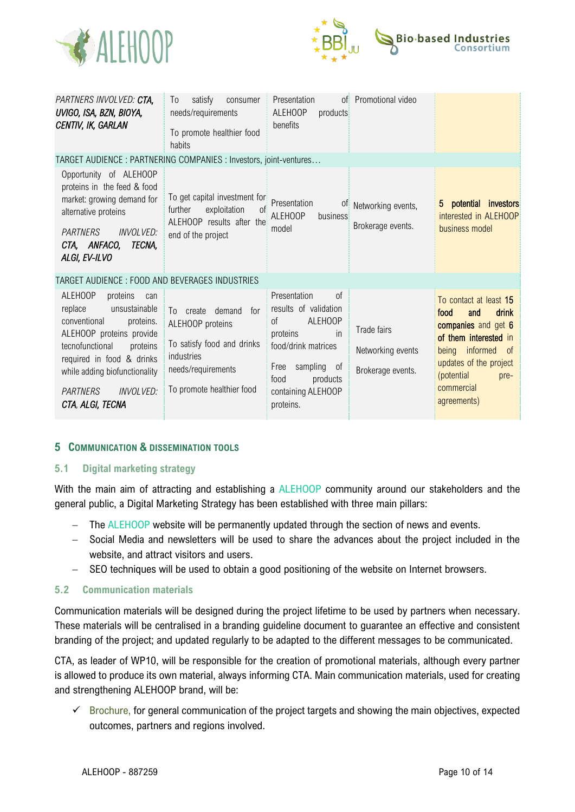



| PARTNERS INVOLVED: CTA,<br>UVIGO, ISA, BZN, BIOYA,<br>CENTIV, IK, GARLAN                                                                                                                                                                                                | satisfy<br>consumer<br>T <sub>0</sub><br>needs/requirements<br>To promote healthier food<br>habits                                                   | Presentation<br>ALEHOOP<br>products<br>benefits                                                                                                                                               | of Promotional video                                  |                                                                                                                                                                                                               |
|-------------------------------------------------------------------------------------------------------------------------------------------------------------------------------------------------------------------------------------------------------------------------|------------------------------------------------------------------------------------------------------------------------------------------------------|-----------------------------------------------------------------------------------------------------------------------------------------------------------------------------------------------|-------------------------------------------------------|---------------------------------------------------------------------------------------------------------------------------------------------------------------------------------------------------------------|
| TARGET AUDIENCE: PARTNERING COMPANIES: Investors, joint-ventures                                                                                                                                                                                                        |                                                                                                                                                      |                                                                                                                                                                                               |                                                       |                                                                                                                                                                                                               |
| Opportunity of ALEHOOP<br>proteins in the feed & food<br>market: growing demand for<br>alternative proteins<br><b>PARTNERS</b><br><b>INVOLVED:</b><br>TECNA,<br>CTA, ANFACO,<br>ALGI, EV-ILVO                                                                           | To get capital investment for<br>further<br>exploitation<br>of<br>ALEHOOP results after the<br>end of the project                                    | Presentation<br>0t<br><b>ALEHOOP</b><br>business<br>model                                                                                                                                     | Networking events,<br>Brokerage events.               | potential<br>investors<br>5.<br>interested in ALEHOOP<br>business model                                                                                                                                       |
| TARGET AUDIENCE: FOOD AND BEVERAGES INDUSTRIES                                                                                                                                                                                                                          |                                                                                                                                                      |                                                                                                                                                                                               |                                                       |                                                                                                                                                                                                               |
| ALEHOOP<br>proteins<br>can<br>unsustainable<br>replace<br>conventional<br>proteins.<br>ALEHOOP proteins provide<br>tecnofunctional<br>proteins<br>required in food & drinks<br>while adding biofunctionality<br><b>INVOLVED:</b><br><b>PARTNERS</b><br>CTA, ALGI, TECNA | demand<br>for<br>To create<br>ALEHOOP proteins<br>To satisfy food and drinks<br><i>industries</i><br>needs/requirements<br>To promote healthier food | Presentation<br>of<br>results of validation<br><b>ALEHOOP</b><br>of<br>in<br>proteins<br>food/drink matrices<br>sampling<br>Free<br>0f<br>food<br>products<br>containing ALEHOOP<br>proteins. | Trade fairs<br>Networking events<br>Brokerage events. | To contact at least 15<br><b>drink</b><br>food<br>and<br>companies and get 6<br>of them interested in<br>informed<br>being<br>of<br>updates of the project<br>(potential<br>pre-<br>commercial<br>agreements) |

## <span id="page-10-0"></span>**5 COMMUNICATION & DISSEMINATION TOOLS**

## <span id="page-10-1"></span>**5.1 Digital marketing strategy**

With the main aim of attracting and establishing a ALEHOOP community around our stakeholders and the general public, a Digital Marketing Strategy has been established with three main pillars:

- − The ALEHOOP website will be permanently updated through the section of news and events.
- − Social Media and newsletters will be used to share the advances about the project included in the website, and attract visitors and users.
- − SEO techniques will be used to obtain a good positioning of the website on Internet browsers.

## <span id="page-10-2"></span>**5.2 Communication materials**

Communication materials will be designed during the project lifetime to be used by partners when necessary. These materials will be centralised in a branding guideline document to guarantee an effective and consistent branding of the project; and updated regularly to be adapted to the different messages to be communicated.

CTA, as leader of WP10, will be responsible for the creation of promotional materials, although every partner is allowed to produce its own material, always informing CTA. Main communication materials, used for creating and strengthening ALEHOOP brand, will be:

✓ Brochure, for general communication of the project targets and showing the main objectives, expected outcomes, partners and regions involved.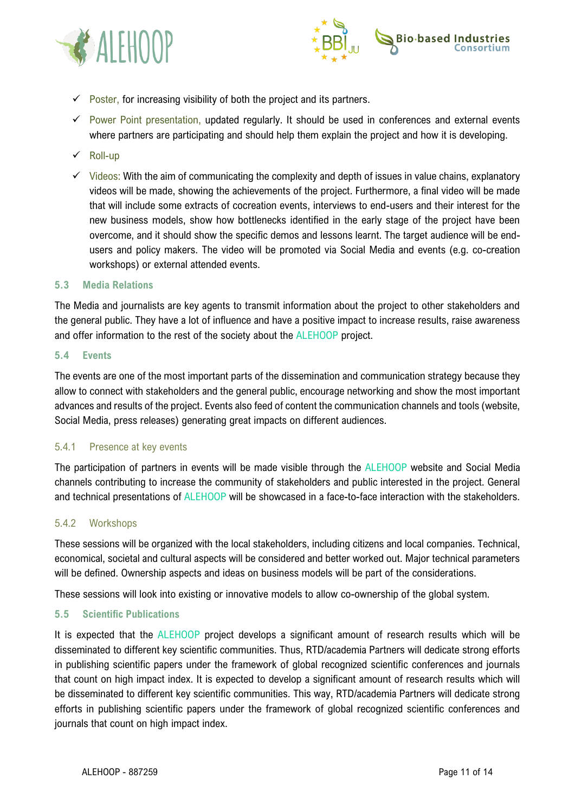



- $\checkmark$  Poster, for increasing visibility of both the project and its partners.
- ✓ Power Point presentation, updated regularly. It should be used in conferences and external events where partners are participating and should help them explain the project and how it is developing.
- ✓ Roll-up
- $\checkmark$  Videos: With the aim of communicating the complexity and depth of issues in value chains, explanatory videos will be made, showing the achievements of the project. Furthermore, a final video will be made that will include some extracts of cocreation events, interviews to end-users and their interest for the new business models, show how bottlenecks identified in the early stage of the project have been overcome, and it should show the specific demos and lessons learnt. The target audience will be endusers and policy makers. The video will be promoted via Social Media and events (e.g. co-creation workshops) or external attended events.

## <span id="page-11-0"></span>**5.3 Media Relations**

The Media and journalists are key agents to transmit information about the project to other stakeholders and the general public. They have a lot of influence and have a positive impact to increase results, raise awareness and offer information to the rest of the society about the ALEHOOP project.

## <span id="page-11-1"></span>**5.4 Events**

The events are one of the most important parts of the dissemination and communication strategy because they allow to connect with stakeholders and the general public, encourage networking and show the most important advances and results of the project. Events also feed of content the communication channels and tools (website, Social Media, press releases) generating great impacts on different audiences.

## <span id="page-11-2"></span>5.4.1 Presence at key events

The participation of partners in events will be made visible through the ALEHOOP website and Social Media channels contributing to increase the community of stakeholders and public interested in the project. General and technical presentations of ALEHOOP will be showcased in a face-to-face interaction with the stakeholders.

## <span id="page-11-3"></span>5.4.2 Workshops

These sessions will be organized with the local stakeholders, including citizens and local companies. Technical, economical, societal and cultural aspects will be considered and better worked out. Major technical parameters will be defined. Ownership aspects and ideas on business models will be part of the considerations.

These sessions will look into existing or innovative models to allow co-ownership of the global system.

## <span id="page-11-4"></span>**5.5 Scientific Publications**

It is expected that the ALEHOOP project develops a significant amount of research results which will be disseminated to different key scientific communities. Thus, RTD/academia Partners will dedicate strong efforts in publishing scientific papers under the framework of global recognized scientific conferences and journals that count on high impact index. It is expected to develop a significant amount of research results which will be disseminated to different key scientific communities. This way, RTD/academia Partners will dedicate strong efforts in publishing scientific papers under the framework of global recognized scientific conferences and journals that count on high impact index.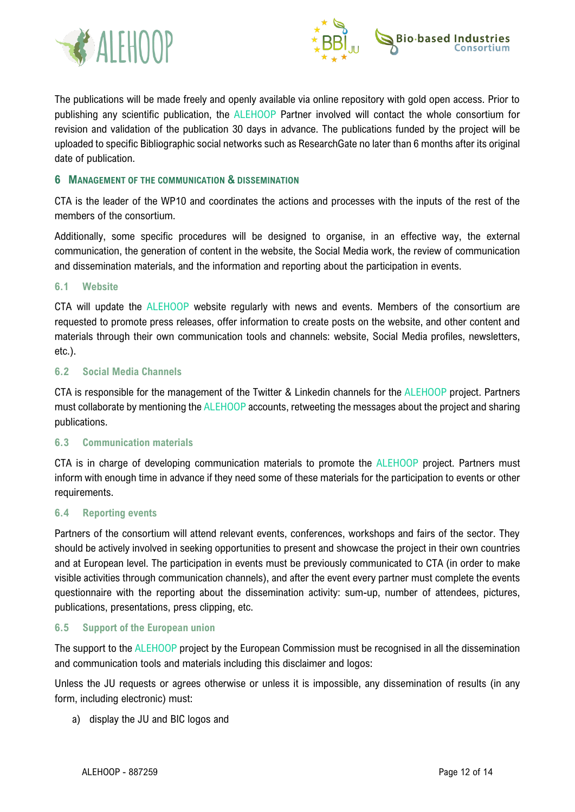



The publications will be made freely and openly available via online repository with gold open access. Prior to publishing any scientific publication, the ALEHOOP Partner involved will contact the whole consortium for revision and validation of the publication 30 days in advance. The publications funded by the project will be uploaded to specific Bibliographic social networks such as ResearchGate no later than 6 months after its original date of publication.

## <span id="page-12-0"></span>**6 MANAGEMENT OF THE COMMUNICATION & DISSEMINATION**

CTA is the leader of the WP10 and coordinates the actions and processes with the inputs of the rest of the members of the consortium.

Additionally, some specific procedures will be designed to organise, in an effective way, the external communication, the generation of content in the website, the Social Media work, the review of communication and dissemination materials, and the information and reporting about the participation in events.

## <span id="page-12-1"></span>**6.1 Website**

CTA will update the ALEHOOP website regularly with news and events. Members of the consortium are requested to promote press releases, offer information to create posts on the website, and other content and materials through their own communication tools and channels: website, Social Media profiles, newsletters, etc.).

## <span id="page-12-2"></span>**6.2 Social Media Channels**

CTA is responsible for the management of the Twitter & Linkedin channels for the ALEHOOP project. Partners must collaborate by mentioning the ALEHOOP accounts, retweeting the messages about the project and sharing publications.

## <span id="page-12-3"></span>**6.3 Communication materials**

CTA is in charge of developing communication materials to promote the ALEHOOP project. Partners must inform with enough time in advance if they need some of these materials for the participation to events or other requirements.

## <span id="page-12-4"></span>**6.4 Reporting events**

Partners of the consortium will attend relevant events, conferences, workshops and fairs of the sector. They should be actively involved in seeking opportunities to present and showcase the project in their own countries and at European level. The participation in events must be previously communicated to CTA (in order to make visible activities through communication channels), and after the event every partner must complete the events questionnaire with the reporting about the dissemination activity: sum-up, number of attendees, pictures, publications, presentations, press clipping, etc.

## <span id="page-12-5"></span>**6.5 Support of the European union**

The support to the ALEHOOP project by the European Commission must be recognised in all the dissemination and communication tools and materials including this disclaimer and logos:

Unless the JU requests or agrees otherwise or unless it is impossible, any dissemination of results (in any form, including electronic) must:

a) display the JU and BIC logos and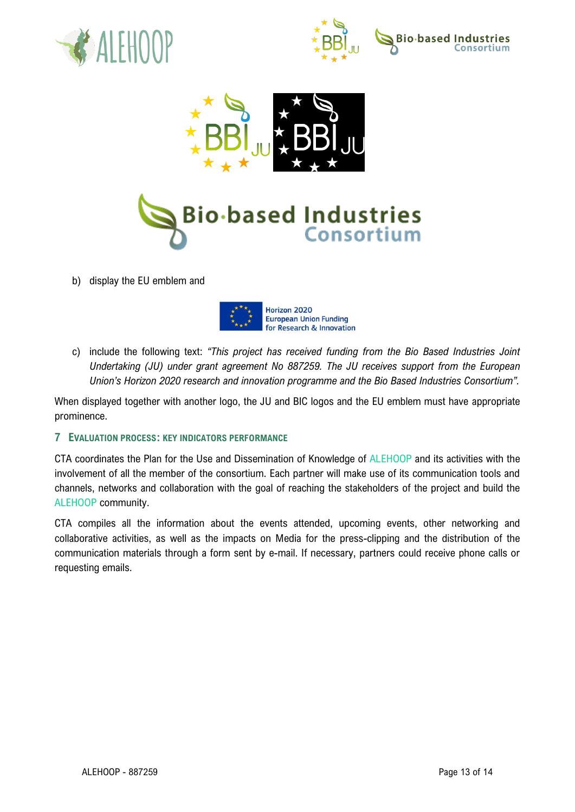







b) display the EU emblem and



c) include the following text: *"This project has received funding from the Bio Based Industries Joint Undertaking (JU) under grant agreement No 887259. The JU receives support from the European Union's Horizon 2020 research and innovation programme and the Bio Based Industries Consortium".*

When displayed together with another logo, the JU and BIC logos and the EU emblem must have appropriate prominence.

## <span id="page-13-0"></span>**7 EVALUATION PROCESS: KEY INDICATORS PERFORMANCE**

CTA coordinates the Plan for the Use and Dissemination of Knowledge of ALEHOOP and its activities with the involvement of all the member of the consortium. Each partner will make use of its communication tools and channels, networks and collaboration with the goal of reaching the stakeholders of the project and build the ALEHOOP community.

CTA compiles all the information about the events attended, upcoming events, other networking and collaborative activities, as well as the impacts on Media for the press-clipping and the distribution of the communication materials through a form sent by e-mail. If necessary, partners could receive phone calls or requesting emails.